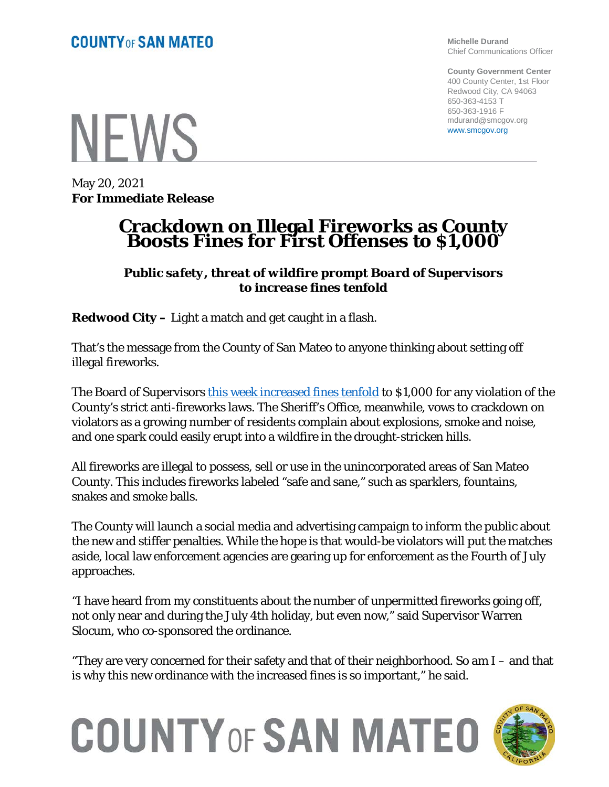**Michelle Durand** Chief Communications Officer

**County Government Center** 400 County Center, 1st Floor Redwood City, CA 94063 650-363-4153 T 650-363-1916 F mdurand@smcgov.org www.smcgov.org

**NFWS** 

May 20, 2021 **For Immediate Release**

## **Crackdown on Illegal Fireworks as County Boosts Fines for First Offenses to \$1,000**

*Public safety, threat of wildfire prompt Board of Supervisors to increase fines tenfold*

**Redwood City –** Light a match and get caught in a flash.

That's the message from the County of San Mateo to anyone thinking about setting off illegal fireworks.

The Board of Supervisors this week [increased fines tenfold](https://sanmateocounty.legistar.com/LegislationDetail.aspx?ID=4956450&GUID=D2237E55-02DA-4BB9-9315-D003CE3D8CB2&FullText=1) to \$1,000 for any violation of the County's strict anti-fireworks laws. The Sheriff's Office, meanwhile, vows to crackdown on violators as a growing number of residents complain about explosions, smoke and noise, and one spark could easily erupt into a wildfire in the drought-stricken hills.

All fireworks are illegal to possess, sell or use in the unincorporated areas of San Mateo County. This includes fireworks labeled "safe and sane," such as sparklers, fountains, snakes and smoke balls.

The County will launch a social media and advertising campaign to inform the public about the new and stiffer penalties. While the hope is that would-be violators will put the matches aside, local law enforcement agencies are gearing up for enforcement as the Fourth of July approaches.

"I have heard from my constituents about the number of unpermitted fireworks going off, not only near and during the July 4th holiday, but even now," said Supervisor Warren Slocum, who co-sponsored the ordinance.

"They are very concerned for their safety and that of their neighborhood. So am I – and that is why this new ordinance with the increased fines is so important," he said.



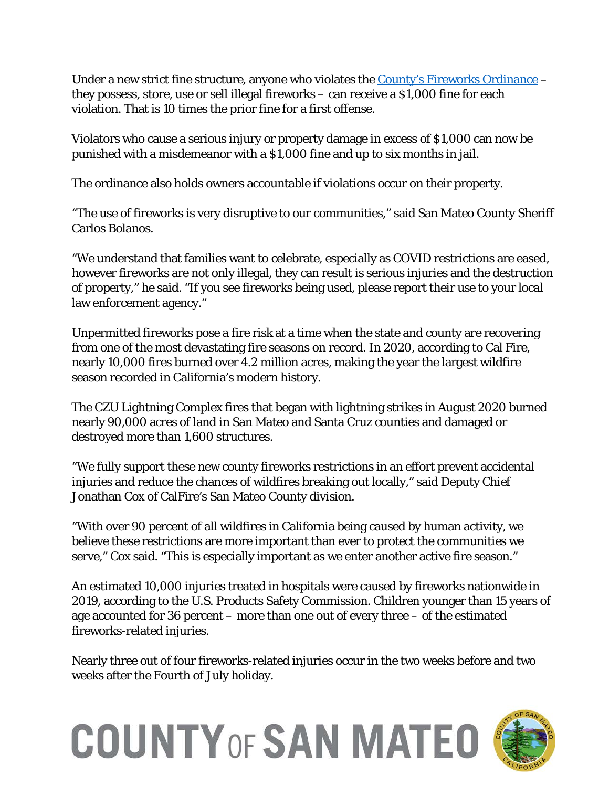Under a new strict fine structure, anyone who violates the [County's Fireworks Ordinance](https://sanmateocounty.legistar.com/LegislationDetail.aspx?ID=4956450&GUID=D2237E55-02DA-4BB9-9315-D003CE3D8CB2&FullText=1) – they possess, store, use or sell illegal fireworks – can receive a \$1,000 fine for each violation. That is 10 times the prior fine for a first offense.

Violators who cause a serious injury or property damage in excess of \$1,000 can now be punished with a misdemeanor with a \$1,000 fine and up to six months in jail.

The ordinance also holds owners accountable if violations occur on their property.

"The use of fireworks is very disruptive to our communities," said San Mateo County Sheriff Carlos Bolanos.

"We understand that families want to celebrate, especially as COVID restrictions are eased, however fireworks are not only illegal, they can result is serious injuries and the destruction of property," he said. "If you see fireworks being used, please report their use to your local law enforcement agency."

Unpermitted fireworks pose a fire risk at a time when the state and county are recovering from one of the most devastating fire seasons on record. In 2020, according to Cal Fire, nearly 10,000 fires burned over 4.2 million acres, making the year the largest wildfire season recorded in California's modern history.

The CZU Lightning Complex fires that began with lightning strikes in August 2020 burned nearly 90,000 acres of land in San Mateo and Santa Cruz counties and damaged or destroyed more than 1,600 structures.

"We fully support these new county fireworks restrictions in an effort prevent accidental injuries and reduce the chances of wildfires breaking out locally," said Deputy Chief Jonathan Cox of CalFire's San Mateo County division.

"With over 90 percent of all wildfires in California being caused by human activity, we believe these restrictions are more important than ever to protect the communities we serve," Cox said. "This is especially important as we enter another active fire season."

An estimated 10,000 injuries treated in hospitals were caused by fireworks nationwide in 2019, according to the U.S. Products Safety Commission. Children younger than 15 years of age accounted for 36 percent – more than one out of every three – of the estimated fireworks-related injuries.

Nearly three out of four fireworks-related injuries occur in the two weeks before and two weeks after the Fourth of July holiday.

## **COUNTY OF SAN MATEO**